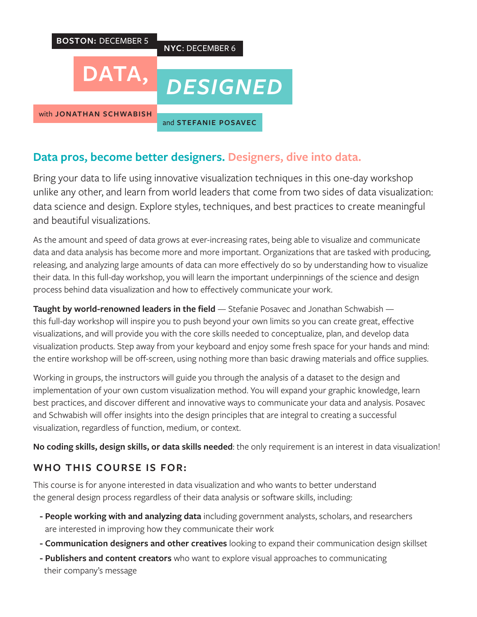

# **Data pros, become better designers. Designers, dive into data.**

Bring your data to life using innovative visualization techniques in this one-day workshop unlike any other, and learn from world leaders that come from two sides of data visualization: data science and design. Explore styles, techniques, and best practices to create meaningful and beautiful visualizations.

As the amount and speed of data grows at ever-increasing rates, being able to visualize and communicate data and data analysis has become more and more important. Organizations that are tasked with producing, releasing, and analyzing large amounts of data can more effectively do so by understanding how to visualize their data. In this full-day workshop, you will learn the important underpinnings of the science and design process behind data visualization and how to effectively communicate your work.

**Taught by world-renowned leaders in the field** — Stefanie Posavec and Jonathan Schwabish this full-day workshop will inspire you to push beyond your own limits so you can create great, effective visualizations, and will provide you with the core skills needed to conceptualize, plan, and develop data visualization products. Step away from your keyboard and enjoy some fresh space for your hands and mind: the entire workshop will be off-screen, using nothing more than basic drawing materials and office supplies.

Working in groups, the instructors will guide you through the analysis of a dataset to the design and implementation of your own custom visualization method. You will expand your graphic knowledge, learn best practices, and discover different and innovative ways to communicate your data and analysis. Posavec and Schwabish will offer insights into the design principles that are integral to creating a successful visualization, regardless of function, medium, or context.

**No coding skills, design skills, or data skills needed**: the only requirement is an interest in data visualization!

## **WHO THIS COURSE IS FOR:**

This course is for anyone interested in data visualization and who wants to better understand the general design process regardless of their data analysis or software skills, including:

- **People working with and analyzing data** including government analysts, scholars, and researchers are interested in improving how they communicate their work
- **Communication designers and other creatives** looking to expand their communication design skillset
- **Publishers and content creators** who want to explore visual approaches to communicating their company's message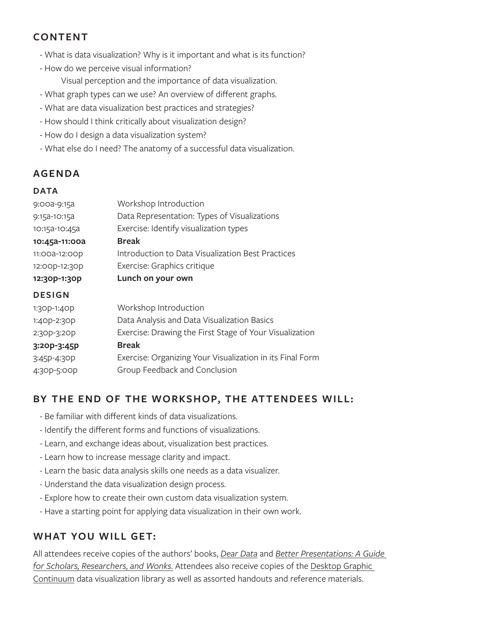## **CONTENT**

- What is data visualization? Why is it important and what is its function?
- How do we perceive visual information?

Visual perception and the importance of data visualization.

- What graph types can we use? An overview of different graphs.
- What are data visualization best practices and strategies?
- How should I think critically about visualization design?
- How do I design a data visualization system?
- What else do I need? The anatomy of a successful data visualization.

## **AGENDA**

#### **DATA**

| 9:00a-9:15a   | Workshop Introduction                                     |
|---------------|-----------------------------------------------------------|
| 9:15a-10:15a  | Data Representation: Types of Visualizations              |
| 10:15a-10:45a | Exercise: Identify visualization types                    |
| 10:45a-11:00a | <b>Break</b>                                              |
| 11:00a-12:00p | Introduction to Data Visualization Best Practices         |
| 12:00p-12:30p | Exercise: Graphics critique                               |
| 12:30p-1:30p  | Lunch on your own                                         |
| <b>DESIGN</b> |                                                           |
| 1:30p-1:40p   | Workshop Introduction                                     |
| 1:40p-2:30p   | Data Analysis and Data Visualization Basics               |
| 2:30p-3:20p   | Exercise: Drawing the First Stage of Your Visualization   |
| 3:20p-3:45p   | <b>Break</b>                                              |
| 3:45P-4:30P   | Exercise: Organizing Your Visualization in its Final Form |
| 4:30p-5:00p   | Group Feedback and Conclusion                             |
|               |                                                           |

### **BY THE END OF THE WORKSHOP, THE ATTENDEES WILL:**

- Be familiar with different kinds of data visualizations.
- Identify the different forms and functions of visualizations.
- Learn, and exchange ideas about, visualization best practices.
- Learn how to increase message clarity and impact.
- Learn the basic data analysis skills one needs as a data visualizer.
- Understand the data visualization design process.
- Explore how to create their own custom data visualization system.
- Have a starting point for applying data visualization in their own work.

## **WHAT YOU WILL GET:**

All attendees receive copies of the authors' books, *Dear Data* and *Better Presentations: A Guide for Scholars, Researchers, and Wonks*. Attendees also receive copies of the Desktop Graphic Continuum data visualization library as well as assorted handouts and reference materials.